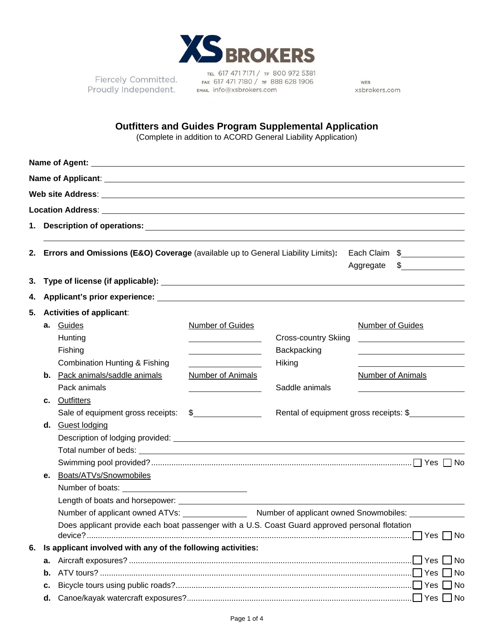

Fiercely Committed. Proudly Independent. EMAIL Info@xsbrokers.com

TEL 617 471 7171 / TF 800 972 5381 FAX 617 471 7180 / TF 888 628 1906

WEB xsbrokers.com

## **Outfitters and Guides Program Supplemental Application**

(Complete in addition to ACORD General Liability Application)

| 1. |                                                                           |                                                                                                |                                                                                                                      |                             |                                               |  |  |
|----|---------------------------------------------------------------------------|------------------------------------------------------------------------------------------------|----------------------------------------------------------------------------------------------------------------------|-----------------------------|-----------------------------------------------|--|--|
|    |                                                                           |                                                                                                |                                                                                                                      |                             |                                               |  |  |
| 2. |                                                                           | <b>Errors and Omissions (E&amp;O) Coverage (available up to General Liability Limits):</b>     |                                                                                                                      |                             | Each Claim \$                                 |  |  |
|    |                                                                           |                                                                                                |                                                                                                                      |                             | $\frac{1}{2}$<br>Aggregate                    |  |  |
| З. |                                                                           |                                                                                                |                                                                                                                      |                             |                                               |  |  |
| 4. |                                                                           |                                                                                                |                                                                                                                      |                             |                                               |  |  |
| 5. |                                                                           | <b>Activities of applicant:</b>                                                                |                                                                                                                      |                             |                                               |  |  |
|    |                                                                           | a. Guides                                                                                      | <b>Number of Guides</b>                                                                                              |                             | <b>Number of Guides</b>                       |  |  |
|    |                                                                           | Hunting                                                                                        | <u> 1989 - Johann Barbara, martxa a</u>                                                                              | <b>Cross-country Skiing</b> | <u> 1980 - Andrea Andrew Maria (h. 1980).</u> |  |  |
|    |                                                                           | Fishing                                                                                        |                                                                                                                      | Backpacking                 |                                               |  |  |
|    |                                                                           | <b>Combination Hunting &amp; Fishing</b>                                                       |                                                                                                                      | Hiking                      |                                               |  |  |
|    |                                                                           | <b>b.</b> Pack animals/saddle animals                                                          | Number of Animals                                                                                                    |                             | <b>Number of Animals</b>                      |  |  |
|    |                                                                           | Pack animals                                                                                   | <u> 1989 - Johann Barbara, politik eta politik eta politik eta politik eta politik eta politik eta politik eta p</u> | Saddle animals              |                                               |  |  |
|    | C.                                                                        | Outfitters                                                                                     |                                                                                                                      |                             |                                               |  |  |
|    |                                                                           | Sale of equipment gross receipts:                                                              | $\mathfrak{S}$                                                                                                       |                             | Rental of equipment gross receipts: \$        |  |  |
|    |                                                                           | d. Guest lodging                                                                               |                                                                                                                      |                             |                                               |  |  |
|    |                                                                           |                                                                                                |                                                                                                                      |                             |                                               |  |  |
|    |                                                                           |                                                                                                |                                                                                                                      |                             |                                               |  |  |
|    |                                                                           |                                                                                                |                                                                                                                      |                             |                                               |  |  |
|    | е.                                                                        | Boats/ATVs/Snowmobiles                                                                         |                                                                                                                      |                             |                                               |  |  |
|    |                                                                           |                                                                                                |                                                                                                                      |                             |                                               |  |  |
|    |                                                                           |                                                                                                |                                                                                                                      |                             |                                               |  |  |
|    | Number of applicant owned ATVs:<br>Number of applicant owned Snowmobiles: |                                                                                                |                                                                                                                      |                             |                                               |  |  |
|    |                                                                           | Does applicant provide each boat passenger with a U.S. Coast Guard approved personal flotation |                                                                                                                      |                             |                                               |  |  |
| 6. |                                                                           | Is applicant involved with any of the following activities:                                    |                                                                                                                      |                             |                                               |  |  |
|    | а.                                                                        |                                                                                                |                                                                                                                      |                             |                                               |  |  |
|    | b.                                                                        |                                                                                                |                                                                                                                      |                             | ∐No                                           |  |  |
|    | c.                                                                        |                                                                                                |                                                                                                                      |                             |                                               |  |  |
|    | d.                                                                        |                                                                                                |                                                                                                                      |                             | Yes [<br>  No                                 |  |  |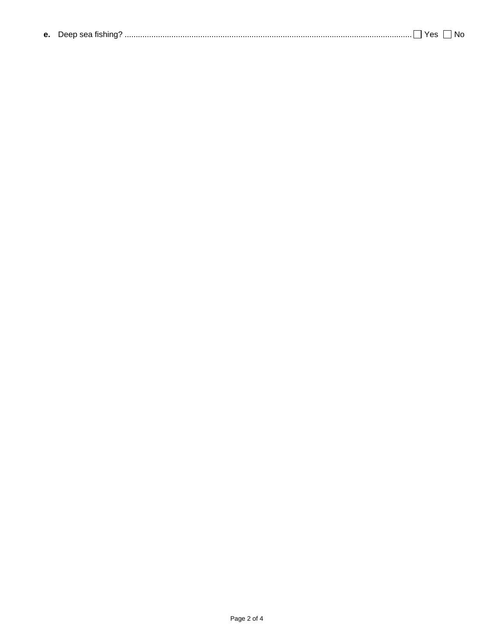| . |  | <b>e.</b> Deep sea fishing? |  |  |  |  |
|---|--|-----------------------------|--|--|--|--|
|---|--|-----------------------------|--|--|--|--|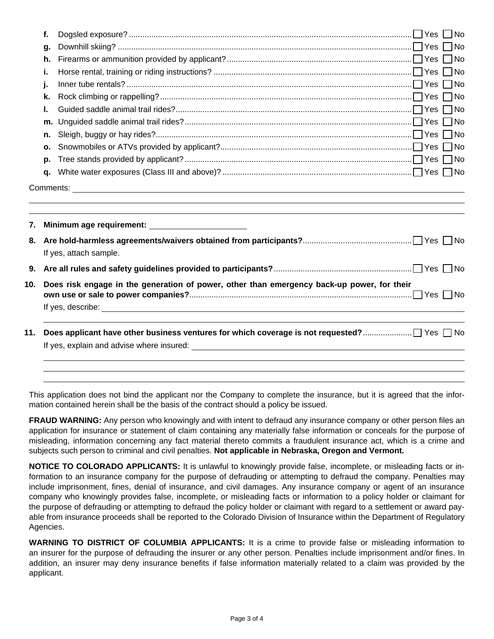|     | f.                                                                                         |                        |
|-----|--------------------------------------------------------------------------------------------|------------------------|
|     | g.                                                                                         |                        |
|     | h.                                                                                         |                        |
|     | i.                                                                                         |                        |
|     | j.                                                                                         |                        |
|     | k.                                                                                         |                        |
|     | I.                                                                                         |                        |
|     | m.                                                                                         |                        |
|     | n.                                                                                         |                        |
|     | О.                                                                                         |                        |
|     | p.                                                                                         |                        |
|     | a.                                                                                         |                        |
| 7.  |                                                                                            |                        |
| 8.  |                                                                                            | If yes, attach sample. |
| 9.  |                                                                                            |                        |
| 10. | Does risk engage in the generation of power, other than emergency back-up power, for their |                        |
|     |                                                                                            |                        |
| 11. |                                                                                            |                        |
|     |                                                                                            |                        |
|     |                                                                                            |                        |

This application does not bind the applicant nor the Company to complete the insurance, but it is agreed that the information contained herein shall be the basis of the contract should a policy be issued.

**FRAUD WARNING:** Any person who knowingly and with intent to defraud any insurance company or other person files an application for insurance or statement of claim containing any materially false information or conceals for the purpose of misleading, information concerning any fact material thereto commits a fraudulent insurance act, which is a crime and subjects such person to criminal and civil penalties. **Not applicable in Nebraska, Oregon and Vermont.**

**NOTICE TO COLORADO APPLICANTS:** It is unlawful to knowingly provide false, incomplete, or misleading facts or information to an insurance company for the purpose of defrauding or attempting to defraud the company. Penalties may include imprisonment, fines, denial of insurance, and civil damages. Any insurance company or agent of an insurance company who knowingly provides false, incomplete, or misleading facts or information to a policy holder or claimant for the purpose of defrauding or attempting to defraud the policy holder or claimant with regard to a settlement or award payable from insurance proceeds shall be reported to the Colorado Division of Insurance within the Department of Regulatory Agencies.

**WARNING TO DISTRICT OF COLUMBIA APPLICANTS:** It is a crime to provide false or misleading information to an insurer for the purpose of defrauding the insurer or any other person. Penalties include imprisonment and/or fines. In addition, an insurer may deny insurance benefits if false information materially related to a claim was provided by the applicant.